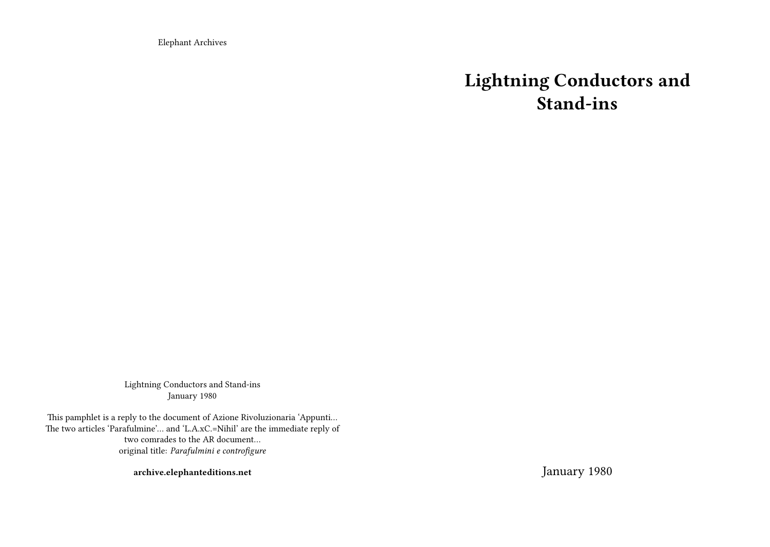Elephant Archives

# **Lightning Conductors and Stand-ins**

Lightning Conductors and Stand-ins January 1980

This pamphlet is a reply to the document of Azione Rivoluzionaria 'Appunti… The two articles 'Parafulmine'… and 'L.A.xC.=Nihil' are the immediate reply of two comrades to the AR document… original title: *Parafulmini e controfigure*

**archive.elephanteditions.net**

January 1980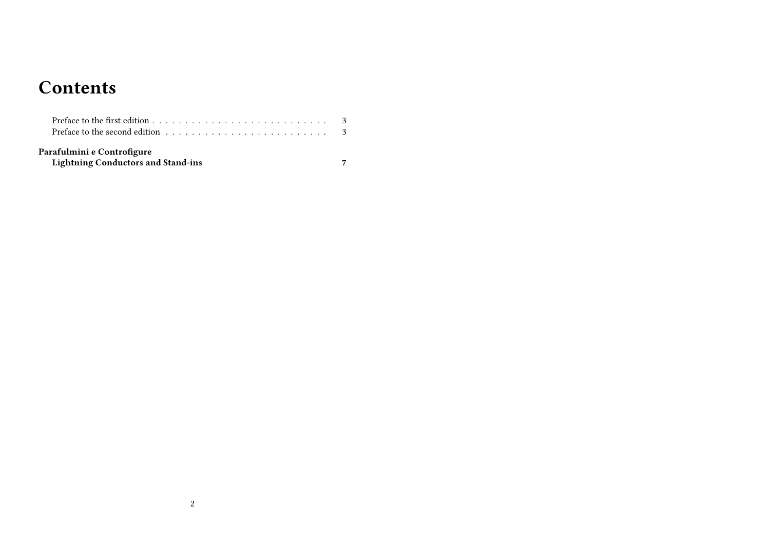## **Contents**

| Preface to the first edition $\ldots$ $\ldots$ $\ldots$ $\ldots$ $\ldots$ $\ldots$ $\ldots$ $\ldots$ $\ldots$ $\ldots$ $\ldots$ 3<br>Preface to the second edition $\ldots$ , $\ldots$ , $\ldots$ , $\ldots$ , $\ldots$ , $\ldots$ , $\ldots$ , $\ldots$ |  |
|----------------------------------------------------------------------------------------------------------------------------------------------------------------------------------------------------------------------------------------------------------|--|
| Parafulmini e Controfigure<br><b>Lightning Conductors and Stand-ins</b>                                                                                                                                                                                  |  |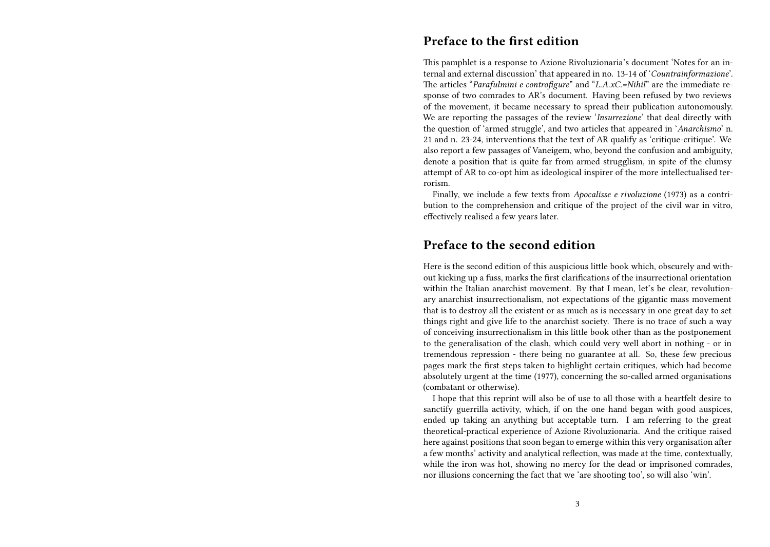## **Preface to the first edition**

This pamphlet is a response to Azione Rivoluzionaria's document 'Notes for an internal and external discussion' that appeared in no. 13-14 of '*Countrainformazione*'. The articles "*Parafulmini e controfigure*" and "*L.A.xC.=Nihil*" are the immediate response of two comrades to AR's document. Having been refused by two reviews of the movement, it became necessary to spread their publication autonomously. We are reporting the passages of the review '*Insurrezione*' that deal directly with the question of 'armed struggle', and two articles that appeared in '*Anarchismo*' n. 21 and n. 23-24, interventions that the text of AR qualify as 'critique-critique'. We also report a few passages of Vaneigem, who, beyond the confusion and ambiguity, denote a position that is quite far from armed strugglism, in spite of the clumsy attempt of AR to co-opt him as ideological inspirer of the more intellectualised terrorism.

Finally, we include a few texts from *Apocalisse e rivoluzione* (1973) as a contribution to the comprehension and critique of the project of the civil war in vitro, effectively realised a few years later.

### **Preface to the second edition**

Here is the second edition of this auspicious little book which, obscurely and without kicking up a fuss, marks the first clarifications of the insurrectional orientation within the Italian anarchist movement. By that I mean, let's be clear, revolutionary anarchist insurrectionalism, not expectations of the gigantic mass movement that is to destroy all the existent or as much as is necessary in one great day to set things right and give life to the anarchist society. There is no trace of such a way of conceiving insurrectionalism in this little book other than as the postponement to the generalisation of the clash, which could very well abort in nothing - or in tremendous repression - there being no guarantee at all. So, these few precious pages mark the first steps taken to highlight certain critiques, which had become absolutely urgent at the time (1977), concerning the so-called armed organisations (combatant or otherwise).

I hope that this reprint will also be of use to all those with a heartfelt desire to sanctify guerrilla activity, which, if on the one hand began with good auspices, ended up taking an anything but acceptable turn. I am referring to the great theoretical-practical experience of Azione Rivoluzionaria. And the critique raised here against positions that soon began to emerge within this very organisation after a few months' activity and analytical reflection, was made at the time, contextually, while the iron was hot, showing no mercy for the dead or imprisoned comrades, nor illusions concerning the fact that we 'are shooting too', so will also 'win'.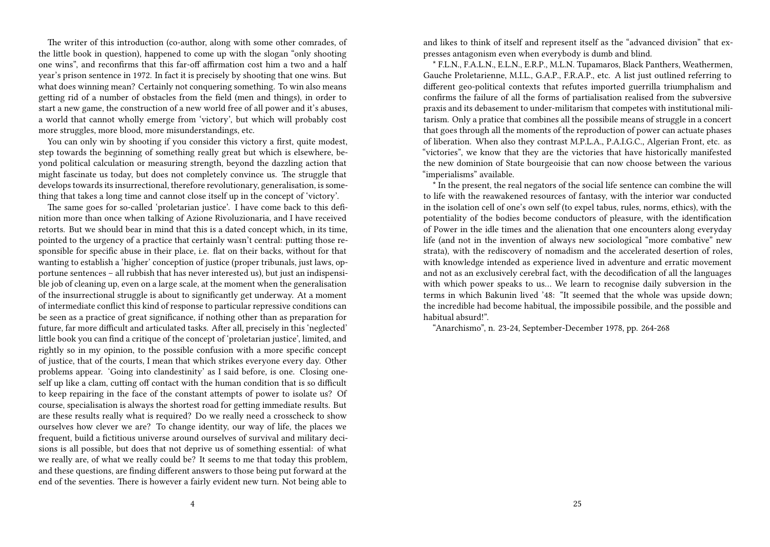The writer of this introduction (co-author, along with some other comrades, of the little book in question), happened to come up with the slogan "only shooting one wins", and reconfirms that this far-off affirmation cost him a two and a half year's prison sentence in 1972. In fact it is precisely by shooting that one wins. But what does winning mean? Certainly not conquering something. To win also means getting rid of a number of obstacles from the field (men and things), in order to start a new game, the construction of a new world free of all power and it's abuses, a world that cannot wholly emerge from 'victory', but which will probably cost more struggles, more blood, more misunderstandings, etc.

You can only win by shooting if you consider this victory a first, quite modest, step towards the beginning of something really great but which is elsewhere, beyond political calculation or measuring strength, beyond the dazzling action that might fascinate us today, but does not completely convince us. The struggle that develops towards its insurrectional, therefore revolutionary, generalisation, is something that takes a long time and cannot close itself up in the concept of 'victory'.

The same goes for so-called 'proletarian justice'. I have come back to this definition more than once when talking of Azione Rivoluzionaria, and I have received retorts. But we should bear in mind that this is a dated concept which, in its time, pointed to the urgency of a practice that certainly wasn't central: putting those responsible for specific abuse in their place, i.e. flat on their backs, without for that wanting to establish a 'higher' conception of justice (proper tribunals, just laws, opportune sentences – all rubbish that has never interested us), but just an indispensible job of cleaning up, even on a large scale, at the moment when the generalisation of the insurrectional struggle is about to significantly get underway. At a moment of intermediate conflict this kind of response to particular repressive conditions can be seen as a practice of great significance, if nothing other than as preparation for future, far more difficult and articulated tasks. After all, precisely in this 'neglected' little book you can find a critique of the concept of 'proletarian justice', limited, and rightly so in my opinion, to the possible confusion with a more specific concept of justice, that of the courts, I mean that which strikes everyone every day. Other problems appear. 'Going into clandestinity' as I said before, is one. Closing oneself up like a clam, cutting off contact with the human condition that is so difficult to keep repairing in the face of the constant attempts of power to isolate us? Of course, specialisation is always the shortest road for getting immediate results. But are these results really what is required? Do we really need a crosscheck to show ourselves how clever we are? To change identity, our way of life, the places we frequent, build a fictitious universe around ourselves of survival and military decisions is all possible, but does that not deprive us of something essential: of what we really are, of what we really could be? It seems to me that today this problem, and these questions, are finding different answers to those being put forward at the end of the seventies. There is however a fairly evident new turn. Not being able to

and likes to think of itself and represent itself as the "advanced division" that expresses antagonism even when everybody is dumb and blind.

\* F.L.N., F.A.L.N., E.L.N., E.R.P., M.L.N. Tupamaros, Black Panthers, Weathermen, Gauche Proletarienne, M.I.L., G.A.P., F.R.A.P., etc. A list just outlined referring to different geo-political contexts that refutes imported guerrilla triumphalism and confirms the failure of all the forms of partialisation realised from the subversive praxis and its debasement to under-militarism that competes with institutional militarism. Only a pratice that combines all the possibile means of struggle in a concert that goes through all the moments of the reproduction of power can actuate phases of liberation. When also they contrast M.P.L.A., P.A.I.G.C., Algerian Front, etc. as "victories", we know that they are the victories that have historically manifested the new dominion of State bourgeoisie that can now choose between the various "imperialisms" available.

\* In the present, the real negators of the social life sentence can combine the will to life with the reawakened resources of fantasy, with the interior war conducted in the isolation cell of one's own self (to expel tabus, rules, norms, ethics), with the potentiality of the bodies become conductors of pleasure, with the identification of Power in the idle times and the alienation that one encounters along everyday life (and not in the invention of always new sociological "more combative" new strata), with the rediscovery of nomadism and the accelerated desertion of roles, with knowledge intended as experience lived in adventure and erratic movement and not as an exclusively cerebral fact, with the decodification of all the languages with which power speaks to us… We learn to recognise daily subversion in the terms in which Bakunin lived '48: "It seemed that the whole was upside down; the incredible had become habitual, the impossibile possibile, and the possible and habitual absurd!".

"Anarchismo", n. 23-24, September-December 1978, pp. 264-268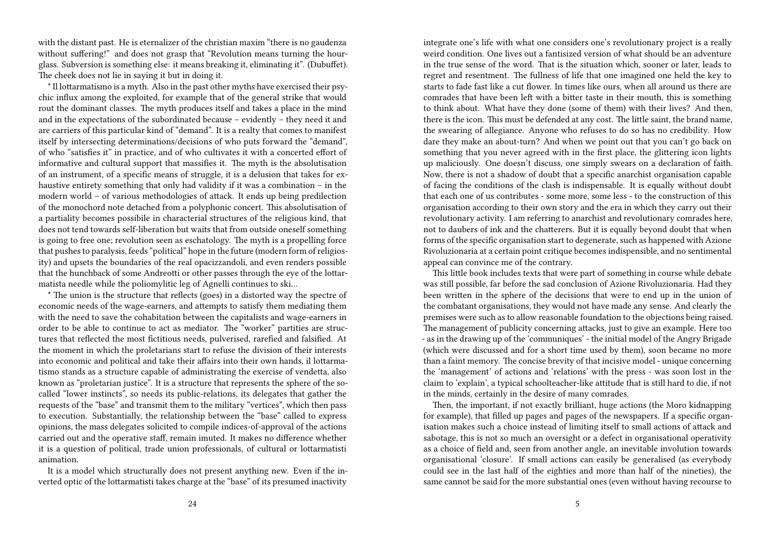with the distant past. He is eternalizer of the christian maxim "there is no gaudenza without suffering!" and does not grasp that "Revolution means turning the hourglass. Subversion is something else: it means breaking it, eliminating it". (Dubuffet). The cheek does not lie in saying it but in doing it.

\* Il lottarmatismo is a myth. Also in the past other myths have exercised their psychic influx among the exploited, for example that of the general strike that would rout the dominant classes. The myth produces itself and takes a place in the mind and in the expectations of the subordinated because – evidently – they need it and are carriers of this particular kind of "demand". It is a realty that comes to manifest itself by intersecting determinations/decisions of who puts forward the "demand", of who "satisfies it" in practice, and of who cultivates it with a concerted effort of informative and cultural support that massifies it. The myth is the absolutisation of an instrument, of a specific means of struggle, it is a delusion that takes for exhaustive entirety something that only had validity if it was a combination – in the modern world – of various methodologies of attack. It ends up being predilection of the monochord note detached from a polyphonic concert. This absolutisation of a partiality becomes possibile in characterial structures of the religious kind, that does not tend towards self-liberation but waits that from outside oneself something is going to free one; revolution seen as eschatology. The myth is a propelling force that pushes to paralysis, feeds "political" hope in the future (modern form of religiosity) and upsets the boundaries of the real opacizzandoli, and even renders possible that the hunchback of some Andreotti or other passes through the eye of the lottarmatista needle while the poliomylitic leg of Agnelli continues to ski…

\* The union is the structure that reflects (goes) in a distorted way the spectre of economic needs of the wage-earners, and attempts to satisfy them mediating them with the need to save the cohabitation between the capitalists and wage-earners in order to be able to continue to act as mediator. The "worker" partities are structures that reflected the most fictitious needs, pulverised, rarefied and falsified. At the moment in which the proletarians start to refuse the division of their interests into economic and political and take their affairs into their own hands, il lottarmatismo stands as a structure capable of administrating the exercise of vendetta, also known as "proletarian justice". It is a structure that represents the sphere of the socalled "lower instincts", so needs its public-relations, its delegates that gather the requests of the "base" and transmit them to the military "vertices", which then pass to execution. Substantially, the relationship between the "base" called to express opinions, the mass delegates solicited to compile indices-of-approval of the actions carried out and the operative staff, remain imuted. It makes no difference whether it is a question of political, trade union professionals, of cultural or lottarmatisti animation.

It is a model which structurally does not present anything new. Even if the inverted optic of the lottarmatisti takes charge at the "base" of its presumed inactivity

integrate one's life with what one considers one's revolutionary project is a really weird condition. One lives out a fantisized version of what should be an adventure in the true sense of the word. That is the situation which, sooner or later, leads to regret and resentment. The fullness of life that one imagined one held the key to starts to fade fast like a cut flower. In times like ours, when all around us there are comrades that have been left with a bitter taste in their mouth, this is something to think about. What have they done (some of them) with their lives? And then, there is the icon. This must be defended at any cost. The little saint, the brand name, the swearing of allegiance. Anyone who refuses to do so has no credibility. How dare they make an about-turn? And when we point out that you can't go back on something that you never agreed with in the first place, the glittering icon lights up maliciously. One doesn't discuss, one simply swears on a declaration of faith. Now, there is not a shadow of doubt that a specific anarchist organisation capable of facing the conditions of the clash is indispensable. It is equally without doubt that each one of us contributes - some more, some less - to the construction of this organisation according to their own story and the era in which they carry out their revolutionary activity. I am referring to anarchist and revolutionary comrades here, not to daubers of ink and the chatterers. But it is equally beyond doubt that when forms of the specific organisation start to degenerate, such as happened with Azione Rivoluzionaria at a certain point critique becomes indispensible, and no sentimental appeal can convince me of the contrary.

This little book includes texts that were part of something in course while debate was still possible, far before the sad conclusion of Azione Rivoluzionaria. Had they been written in the sphere of the decisions that were to end up in the union of the combatant organisations, they would not have made any sense. And clearly the premises were such as to allow reasonable foundation to the objections being raised. The management of publicity concerning attacks, just to give an example. Here too - as in the drawing up of the 'communiques' - the initial model of the Angry Brigade (which were discussed and for a short time used by them), soon became no more than a faint memory. The concise brevity of that incisive model - unique concerning the 'management' of actions and 'relations' with the press - was soon lost in the claim to 'explain', a typical schoolteacher-like attitude that is still hard to die, if not in the minds, certainly in the desire of many comrades.

Then, the important, if not exactly brilliant, huge actions (the Moro kidnapping for example), that filled up pages and pages of the newspapers. If a specific organisation makes such a choice instead of limiting itself to small actions of attack and sabotage, this is not so much an oversight or a defect in organisational operativity as a choice of field and, seen from another angle, an inevitable involution towards organisational 'closure'. If small actions can easily be generalised (as everybody could see in the last half of the eighties and more than half of the nineties), the same cannot be said for the more substantial ones (even without having recourse to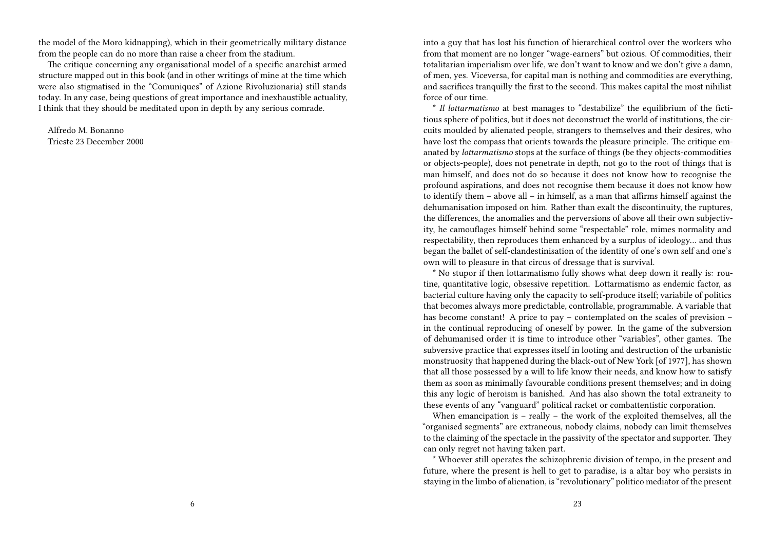the model of the Moro kidnapping), which in their geometrically military distance from the people can do no more than raise a cheer from the stadium.

The critique concerning any organisational model of a specific anarchist armed structure mapped out in this book (and in other writings of mine at the time which were also stigmatised in the "Comuniques" of Azione Rivoluzionaria) still stands today. In any case, being questions of great importance and inexhaustible actuality, I think that they should be meditated upon in depth by any serious comrade.

Alfredo M. Bonanno Trieste 23 December 2000 into a guy that has lost his function of hierarchical control over the workers who from that moment are no longer "wage-earners" but ozious. Of commodities, their totalitarian imperialism over life, we don't want to know and we don't give a damn, of men, yes. Viceversa, for capital man is nothing and commodities are everything, and sacrifices tranquilly the first to the second. This makes capital the most nihilist force of our time.

\* *Il lottarmatismo* at best manages to "destabilize" the equilibrium of the fictitious sphere of politics, but it does not deconstruct the world of institutions, the circuits moulded by alienated people, strangers to themselves and their desires, who have lost the compass that orients towards the pleasure principle. The critique emanated by *lottarmatismo* stops at the surface of things (be they objects-commodities or objects-people), does not penetrate in depth, not go to the root of things that is man himself, and does not do so because it does not know how to recognise the profound aspirations, and does not recognise them because it does not know how to identify them – above all – in himself, as a man that affirms himself against the dehumanisation imposed on him. Rather than exalt the discontinuity, the ruptures, the differences, the anomalies and the perversions of above all their own subjectivity, he camouflages himself behind some "respectable" role, mimes normality and respectability, then reproduces them enhanced by a surplus of ideology… and thus began the ballet of self-clandestinisation of the identity of one's own self and one's own will to pleasure in that circus of dressage that is survival.

\* No stupor if then lottarmatismo fully shows what deep down it really is: routine, quantitative logic, obsessive repetition. Lottarmatismo as endemic factor, as bacterial culture having only the capacity to self-produce itself; variabile of politics that becomes always more predictable, controllable, programmable. A variable that has become constant! A price to pay – contemplated on the scales of prevision – in the continual reproducing of oneself by power. In the game of the subversion of dehumanised order it is time to introduce other "variables", other games. The subversive practice that expresses itself in looting and destruction of the urbanistic monstruosity that happened during the black-out of New York [of 1977], has shown that all those possessed by a will to life know their needs, and know how to satisfy them as soon as minimally favourable conditions present themselves; and in doing this any logic of heroism is banished. And has also shown the total extraneity to these events of any "vanguard" political racket or combattentistic corporation.

When emancipation is – really – the work of the exploited themselves, all the "organised segments" are extraneous, nobody claims, nobody can limit themselves to the claiming of the spectacle in the passivity of the spectator and supporter. They can only regret not having taken part.

\* Whoever still operates the schizophrenic division of tempo, in the present and future, where the present is hell to get to paradise, is a altar boy who persists in staying in the limbo of alienation, is "revolutionary" politico mediator of the present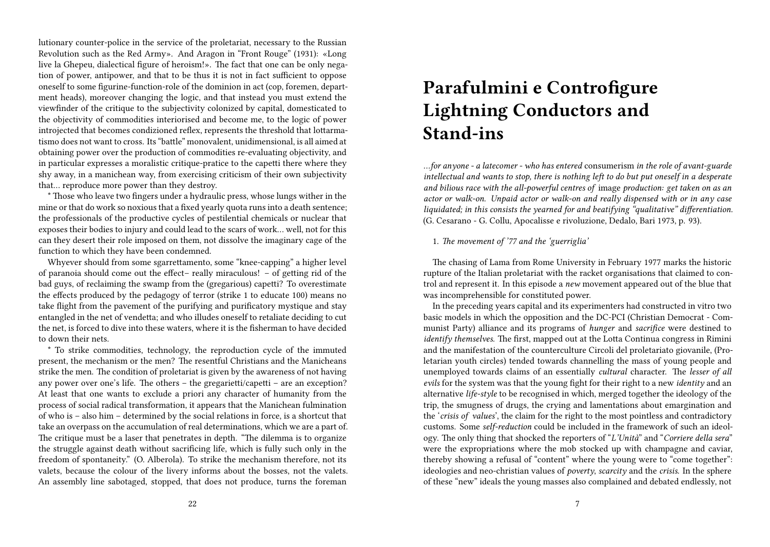lutionary counter-police in the service of the proletariat, necessary to the Russian Revolution such as the Red Army». And Aragon in "Front Rouge" (1931): «Long live la Ghepeu, dialectical figure of heroism!». The fact that one can be only negation of power, antipower, and that to be thus it is not in fact sufficient to oppose oneself to some figurine-function-role of the dominion in act (cop, foremen, department heads), moreover changing the logic, and that instead you must extend the viewfinder of the critique to the subjectivity colonized by capital, domesticated to the objectivity of commodities interiorised and become me, to the logic of power introjected that becomes condizioned reflex, represents the threshold that lottarmatismo does not want to cross. Its "battle" monovalent, unidimensional, is all aimed at obtaining power over the production of commodities re-evaluating objectivity, and in particular expresses a moralistic critique-pratice to the capetti there where they shy away, in a manichean way, from exercising criticism of their own subjectivity that… reproduce more power than they destroy.

\* Those who leave two fingers under a hydraulic press, whose lungs wither in the mine or that do work so noxious that a fixed yearly quota runs into a death sentence; the professionals of the productive cycles of pestilential chemicals or nuclear that exposes their bodies to injury and could lead to the scars of work… well, not for this can they desert their role imposed on them, not dissolve the imaginary cage of the function to which they have been condemned.

Whyever should from some sgarrettamento, some "knee-capping" a higher level of paranoia should come out the effect– really miraculous! – of getting rid of the bad guys, of reclaiming the swamp from the (gregarious) capetti? To overestimate the effects produced by the pedagogy of terror (strike 1 to educate 100) means no take flight from the pavement of the purifying and purificatory mystique and stay entangled in the net of vendetta; and who illudes oneself to retaliate deciding to cut the net, is forced to dive into these waters, where it is the fisherman to have decided to down their nets.

\* To strike commodities, technology, the reproduction cycle of the immuted present, the mechanism or the men? The resentful Christians and the Manicheans strike the men. The condition of proletariat is given by the awareness of not having any power over one's life. The others – the gregarietti/capetti – are an exception? At least that one wants to exclude a priori any character of humanity from the process of social radical transformation, it appears that the Manichean fulmination of who is – also him – determined by the social relations in force, is a shortcut that take an overpass on the accumulation of real determinations, which we are a part of. The critique must be a laser that penetrates in depth. "The dilemma is to organize the struggle against death without sacrificing life, which is fully such only in the freedom of spontaneity." (O. Alberola). To strike the mechanism therefore, not its valets, because the colour of the livery informs about the bosses, not the valets. An assembly line sabotaged, stopped, that does not produce, turns the foreman

# **Parafulmini e Controfigure Lightning Conductors and Stand-ins**

*…for anyone - a latecomer - who has entered* consumerism *in the role of avant-guarde intellectual and wants to stop, there is nothing left to do but put oneself in a desperate and bilious race with the all-powerful centres of* image *production: get taken on as an actor or walk-on. Unpaid actor or walk-on and really dispensed with or in any case liquidated; in this consists the yearned for and beatifying "qualitative" differentiation.* (G. Cesarano - G. Collu, Apocalisse e rivoluzione, Dedalo, Bari 1973, p. 93).

### 1. *The movement of '77 and the 'guerriglia'*

The chasing of Lama from Rome University in February 1977 marks the historic rupture of the Italian proletariat with the racket organisations that claimed to control and represent it. In this episode a *new* movement appeared out of the blue that was incomprehensible for constituted power.

In the preceding years capital and its experimenters had constructed in vitro two basic models in which the opposition and the DC-PCI (Christian Democrat - Communist Party) alliance and its programs of *hunger* and *sacrifice* were destined to *identify themselves.* The first, mapped out at the Lotta Continua congress in Rimini and the manifestation of the counterculture Circoli del proletariato giovanile, (Proletarian youth circles) tended towards channelling the mass of young people and unemployed towards claims of an essentially *cultural* character. The *lesser of all evils* for the system was that the young fight for their right to a new *identity* and an alternative *life-style* to be recognised in which, merged together the ideology of the trip, the smugness of drugs, the crying and lamentations about emargination and the '*crisis of values*', the claim for the right to the most pointless and contradictory customs. Some *self-reduction* could be included in the framework of such an ideology. The only thing that shocked the reporters of "*L'Unità*" and "*Corriere della sera*" were the expropriations where the mob stocked up with champagne and caviar, thereby showing a refusal of "content" where the young were to "come together": ideologies and neo-christian values of *poverty*, *scarcity* and the *crisis*. In the sphere of these "new" ideals the young masses also complained and debated endlessly, not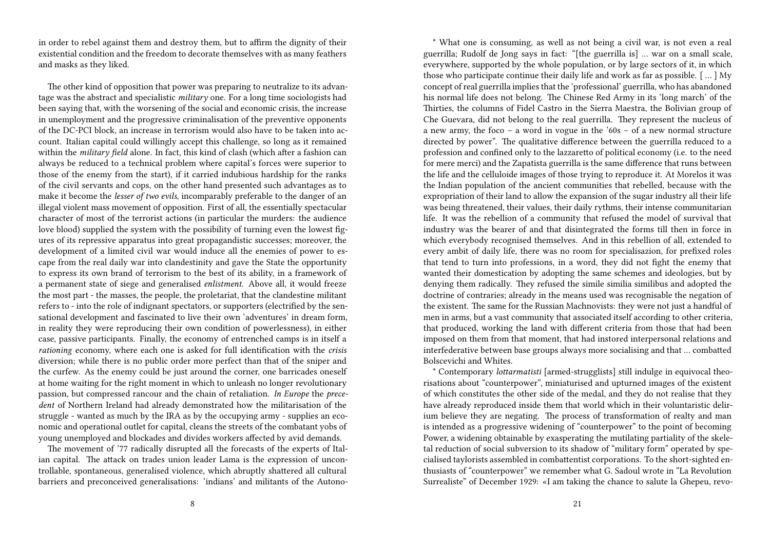in order to rebel against them and destroy them, but to affirm the dignity of their existential condition and the freedom to decorate themselves with as many feathers and masks as they liked.

The other kind of opposition that power was preparing to neutralize to its advantage was the abstract and specialistic *military* one. For a long time sociologists had been saying that, with the worsening of the social and economic crisis, the increase in unemployment and the progressive criminalisation of the preventive opponents of the DC-PCI block, an increase in terrorism would also have to be taken into account. Italian capital could willingly accept this challenge, so long as it remained within the *military field* alone. In fact, this kind of clash (which after a fashion can always be reduced to a technical problem where capital's forces were superior to those of the enemy from the start), if it carried indubious hardship for the ranks of the civil servants and cops, on the other hand presented such advantages as to make it become the *lesser of two evils*, incomparably preferable to the danger of an illegal violent mass movement of opposition. First of all, the essentially spectacular character of most of the terrorist actions (in particular the murders: the audience love blood) supplied the system with the possibility of turning even the lowest figures of its repressive apparatus into great propagandistic successes; moreover, the development of a limited civil war would induce all the enemies of power to escape from the real daily war into clandestinity and gave the State the opportunity to express its own brand of terrorism to the best of its ability, in a framework of a permanent state of siege and generalised *enlistment*. Above all, it would freeze the most part - the masses, the people, the proletariat, that the clandestine militant refers to - into the role of indignant spectators, or supporters (electrified by the sensational development and fascinated to live their own 'adventures' in dream form, in reality they were reproducing their own condition of powerlessness), in either case, passive participants. Finally, the economy of entrenched camps is in itself a *rationing* economy, where each one is asked for full identification with the *crisis* diversion; while there is no public order more perfect than that of the sniper and the curfew. As the enemy could be just around the corner, one barricades oneself at home waiting for the right moment in which to unleash no longer revolutionary passion, but compressed rancour and the chain of retaliation. *In Europe* the *precedent* of Northern Ireland had already demonstrated how the militarisation of the struggle - wanted as much by the IRA as by the occupying army - supplies an economic and operational outlet for capital, cleans the streets of the combatant yobs of young unemployed and blockades and divides workers affected by avid demands.

The movement of '77 radically disrupted all the forecasts of the experts of Italian capital. The attack on trades union leader Lama is the expression of uncontrollable, spontaneous, generalised violence, which abruptly shattered all cultural barriers and preconceived generalisations: 'indians' and militants of the Autono-

\* What one is consuming, as well as not being a civil war, is not even a real guerrilla; Rudolf de Jong says in fact: "[the guerrilla is] … war on a small scale, everywhere, supported by the whole population, or by large sectors of it, in which those who participate continue their daily life and work as far as possible. [ … ] My concept of real guerrilla implies that the 'professional' guerrilla, who has abandoned his normal life does not belong. The Chinese Red Army in its 'long march' of the Thirties, the columns of Fidel Castro in the Sierra Maestra, the Bolivian group of Che Guevara, did not belong to the real guerrilla. They represent the nucleus of a new army, the foco – a word in vogue in the '60s – of a new normal structure directed by power". The qualitative difference between the guerrilla reduced to a profession and confined only to the lazzaretto of political economy (i.e. to the need for mere merci) and the Zapatista guerrilla is the same difference that runs between the life and the celluloide images of those trying to reproduce it. At Morelos it was the Indian population of the ancient communities that rebelled, because with the expropriation of their land to allow the expansion of the sugar industry all their life was being threatened, their values, their daily rythms, their intense communitarian life. It was the rebellion of a community that refused the model of survival that industry was the bearer of and that disintegrated the forms till then in force in which everybody recognised themselves. And in this rebellion of all, extended to every ambit of daily life, there was no room for specialisazion, for prefixed roles that tend to turn into professions, in a word, they did not fight the enemy that wanted their domestication by adopting the same schemes and ideologies, but by denying them radically. They refused the simile similia similibus and adopted the doctrine of contraries; already in the means used was recognisable the negation of the existent. The same for the Russian Machnovists: they were not just a handful of men in arms, but a vast community that associated itself according to other criteria, that produced, working the land with different criteria from those that had been imposed on them from that moment, that had instored interpersonal relations and interfederative between base groups always more socialising and that … combatted Bolscevichi and Whites.

\* Contemporary *lottarmatisti* [armed-strugglists] still indulge in equivocal theorisations about "counterpower", miniaturised and upturned images of the existent of which constitutes the other side of the medal, and they do not realise that they have already reproduced inside them that world which in their voluntaristic delirium believe they are negating. The process of transformation of realty and man is intended as a progressive widening of "counterpower" to the point of becoming Power, a widening obtainable by exasperating the mutilating partiality of the skeletal reduction of social subversion to its shadow of "military form" operated by specialised taylorists assembled in combattentist corporations. To the short-sighted enthusiasts of "counterpower" we remember what G. Sadoul wrote in "La Revolution Surrealiste" of December 1929: «I am taking the chance to salute la Ghepeu, revo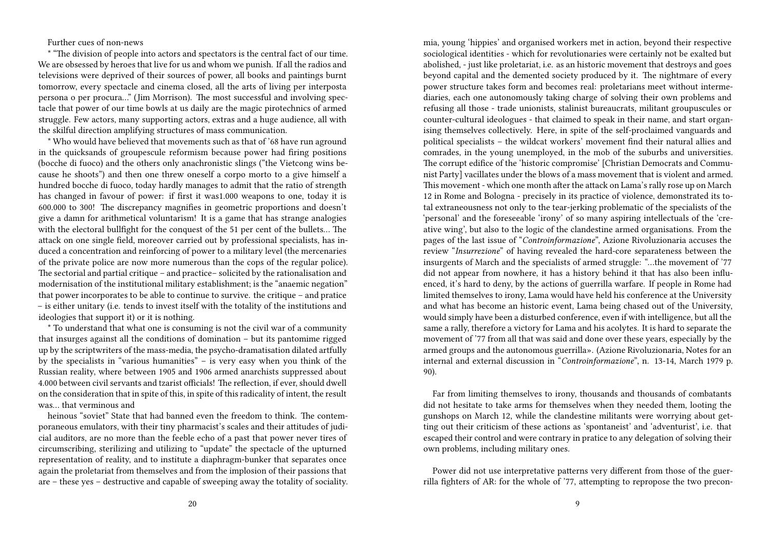Further cues of non-news

\* "The division of people into actors and spectators is the central fact of our time. We are obsessed by heroes that live for us and whom we punish. If all the radios and televisions were deprived of their sources of power, all books and paintings burnt tomorrow, every spectacle and cinema closed, all the arts of living per interposta persona o per procura…" (Jim Morrison). The most successful and involving spectacle that power of our time bowls at us daily are the magic pirotechnics of armed struggle. Few actors, many supporting actors, extras and a huge audience, all with the skilful direction amplifying structures of mass communication.

\* Who would have believed that movements such as that of '68 have run aground in the quicksands of groupescule reformism because power had firing positions (bocche di fuoco) and the others only anachronistic slings ("the Vietcong wins because he shoots") and then one threw oneself a corpo morto to a give himself a hundred bocche di fuoco, today hardly manages to admit that the ratio of strength has changed in favour of power: if first it was1.000 weapons to one, today it is 600.000 to 300! The discrepancy magnifies in geometric proportions and doesn't give a damn for arithmetical voluntarism! It is a game that has strange analogies with the electoral bullfight for the conquest of the 51 per cent of the bullets… The attack on one single field, moreover carried out by professional specialists, has induced a concentration and reinforcing of power to a military level (the mercenaries of the private police are now more numerous than the cops of the regular police). The sectorial and partial critique – and practice– solicited by the rationalisation and modernisation of the institutional military establishment; is the "anaemic negation" that power incorporates to be able to continue to survive. the critique – and pratice – is either unitary (i.e. tends to invest itself with the totality of the institutions and ideologies that support it) or it is nothing.

\* To understand that what one is consuming is not the civil war of a community that insurges against all the conditions of domination – but its pantomime rigged up by the scriptwriters of the mass-media, the psycho-dramatisation dilated artfully by the specialists in "various humanities" – is very easy when you think of the Russian reality, where between 1905 and 1906 armed anarchists suppressed about 4.000 between civil servants and tzarist officials! The reflection, if ever, should dwell on the consideration that in spite of this, in spite of this radicality of intent, the result was… that verminous and

heinous "soviet" State that had banned even the freedom to think. The contemporaneous emulators, with their tiny pharmacist's scales and their attitudes of judicial auditors, are no more than the feeble echo of a past that power never tires of circumscribing, sterilizing and utilizing to "update" the spectacle of the upturned representation of reality, and to institute a diaphragm-bunker that separates once again the proletariat from themselves and from the implosion of their passions that are – these yes – destructive and capable of sweeping away the totality of sociality.

mia, young 'hippies' and organised workers met in action, beyond their respective sociological identities - which for revolutionaries were certainly not be exalted but abolished, - just like proletariat, i.e. as an historic movement that destroys and goes beyond capital and the demented society produced by it. The nightmare of every power structure takes form and becomes real: proletarians meet without intermediaries, each one autonomously taking charge of solving their own problems and refusing all those - trade unionists, stalinist bureaucrats, militant groupuscules or counter-cultural ideologues - that claimed to speak in their name, and start organising themselves collectively. Here, in spite of the self-proclaimed vanguards and political specialists – the wildcat workers' movement find their natural allies and comrades, in the young unemployed, in the mob of the suburbs and universities. The corrupt edifice of the 'historic compromise' [Christian Democrats and Communist Party] vacillates under the blows of a mass movement that is violent and armed. This movement - which one month after the attack on Lama's rally rose up on March 12 in Rome and Bologna - precisely in its practice of violence, demonstrated its total extraneousness not only to the tear-jerking problematic of the specialists of the 'personal' and the foreseeable 'irony' of so many aspiring intellectuals of the 'creative wing', but also to the logic of the clandestine armed organisations. From the pages of the last issue of "*Controinformazione*", Azione Rivoluzionaria accuses the review "*Insurrezione*" of having revealed the hard-core separateness between the insurgents of March and the specialists of armed struggle: "…the movement of '77 did not appear from nowhere, it has a history behind it that has also been influenced, it's hard to deny, by the actions of guerrilla warfare. If people in Rome had limited themselves to irony, Lama would have held his conference at the University and what has become an historic event, Lama being chased out of the University, would simply have been a disturbed conference, even if with intelligence, but all the same a rally, therefore a victory for Lama and his acolytes. It is hard to separate the movement of '77 from all that was said and done over these years, especially by the armed groups and the autonomous guerrilla». (Azione Rivoluzionaria, Notes for an internal and external discussion in "*Controinformazione*", n. 13-14, March 1979 p. 90).

Far from limiting themselves to irony, thousands and thousands of combatants did not hesitate to take arms for themselves when they needed them, looting the gunshops on March 12, while the clandestine militants were worrying about getting out their criticism of these actions as 'spontaneist' and 'adventurist', i.e. that escaped their control and were contrary in pratice to any delegation of solving their own problems, including military ones.

Power did not use interpretative patterns very different from those of the guerrilla fighters of AR: for the whole of '77, attempting to repropose the two precon-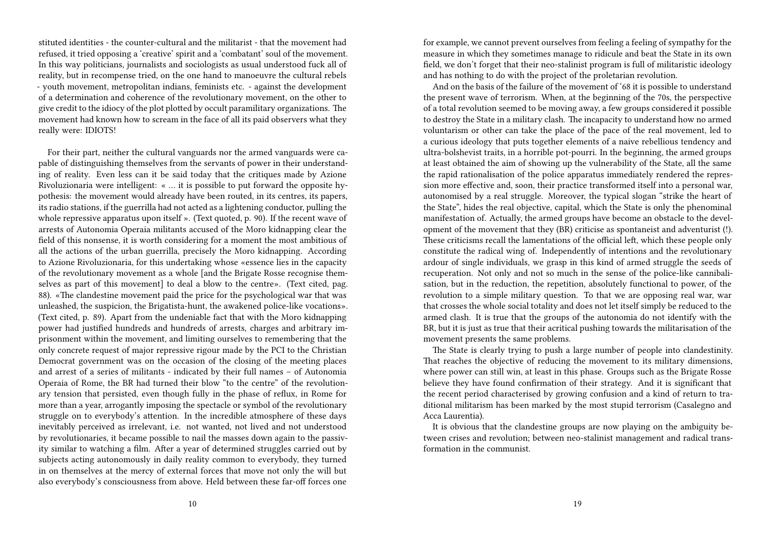stituted identities - the counter-cultural and the militarist - that the movement had refused, it tried opposing a 'creative' spirit and a 'combatant' soul of the movement. In this way politicians, journalists and sociologists as usual understood fuck all of reality, but in recompense tried, on the one hand to manoeuvre the cultural rebels - youth movement, metropolitan indians, feminists etc. - against the development of a determination and coherence of the revolutionary movement, on the other to give credit to the idiocy of the plot plotted by occult paramilitary organizations. The movement had known how to scream in the face of all its paid observers what they really were: IDIOTS!

For their part, neither the cultural vanguards nor the armed vanguards were capable of distinguishing themselves from the servants of power in their understanding of reality. Even less can it be said today that the critiques made by Azione Rivoluzionaria were intelligent: « … it is possible to put forward the opposite hypothesis: the movement would already have been routed, in its centres, its papers, its radio stations, if the guerrilla had not acted as a lightening conductor, pulling the whole repressive apparatus upon itself ». (Text quoted, p. 90). If the recent wave of arrests of Autonomia Operaia militants accused of the Moro kidnapping clear the field of this nonsense, it is worth considering for a moment the most ambitious of all the actions of the urban guerrilla, precisely the Moro kidnapping. According to Azione Rivoluzionaria, for this undertaking whose «essence lies in the capacity of the revolutionary movement as a whole [and the Brigate Rosse recognise themselves as part of this movement] to deal a blow to the centre». (Text cited, pag. 88). «The clandestine movement paid the price for the psychological war that was unleashed, the suspicion, the Brigatista-hunt, the awakened police-like vocations». (Text cited, p. 89). Apart from the undeniable fact that with the Moro kidnapping power had justified hundreds and hundreds of arrests, charges and arbitrary imprisonment within the movement, and limiting ourselves to remembering that the only concrete request of major repressive rigour made by the PCI to the Christian Democrat government was on the occasion of the closing of the meeting places and arrest of a series of militants - indicated by their full names – of Autonomia Operaia of Rome, the BR had turned their blow "to the centre" of the revolutionary tension that persisted, even though fully in the phase of reflux, in Rome for more than a year, arrogantly imposing the spectacle or symbol of the revolutionary struggle on to everybody's attention. In the incredible atmosphere of these days inevitably perceived as irrelevant, i.e. not wanted, not lived and not understood by revolutionaries, it became possible to nail the masses down again to the passivity similar to watching a film. After a year of determined struggles carried out by subjects acting autonomously in daily reality common to everybody, they turned in on themselves at the mercy of external forces that move not only the will but also everybody's consciousness from above. Held between these far-off forces one

for example, we cannot prevent ourselves from feeling a feeling of sympathy for the measure in which they sometimes manage to ridicule and beat the State in its own field, we don't forget that their neo-stalinist program is full of militaristic ideology and has nothing to do with the project of the proletarian revolution.

And on the basis of the failure of the movement of '68 it is possible to understand the present wave of terrorism. When, at the beginning of the 70s, the perspective of a total revolution seemed to be moving away, a few groups considered it possible to destroy the State in a military clash. The incapacity to understand how no armed voluntarism or other can take the place of the pace of the real movement, led to a curious ideology that puts together elements of a naive rebellious tendency and ultra-bolshevist traits, in a horrible pot-pourri. In the beginning, the armed groups at least obtained the aim of showing up the vulnerability of the State, all the same the rapid rationalisation of the police apparatus immediately rendered the repression more effective and, soon, their practice transformed itself into a personal war, autonomised by a real struggle. Moreover, the typical slogan "strike the heart of the State", hides the real objective, capital, which the State is only the phenominal manifestation of. Actually, the armed groups have become an obstacle to the development of the movement that they (BR) criticise as spontaneist and adventurist (!). These criticisms recall the lamentations of the official left, which these people only constitute the radical wing of. Independently of intentions and the revolutionary ardour of single individuals, we grasp in this kind of armed struggle the seeds of recuperation. Not only and not so much in the sense of the police-like cannibalisation, but in the reduction, the repetition, absolutely functional to power, of the revolution to a simple military question. To that we are opposing real war, war that crosses the whole social totality and does not let itself simply be reduced to the armed clash. It is true that the groups of the autonomia do not identify with the BR, but it is just as true that their acritical pushing towards the militarisation of the movement presents the same problems.

The State is clearly trying to push a large number of people into clandestinity. That reaches the objective of reducing the movement to its military dimensions, where power can still win, at least in this phase. Groups such as the Brigate Rosse believe they have found confirmation of their strategy. And it is significant that the recent period characterised by growing confusion and a kind of return to traditional militarism has been marked by the most stupid terrorism (Casalegno and Acca Laurentia).

It is obvious that the clandestine groups are now playing on the ambiguity between crises and revolution; between neo-stalinist management and radical transformation in the communist.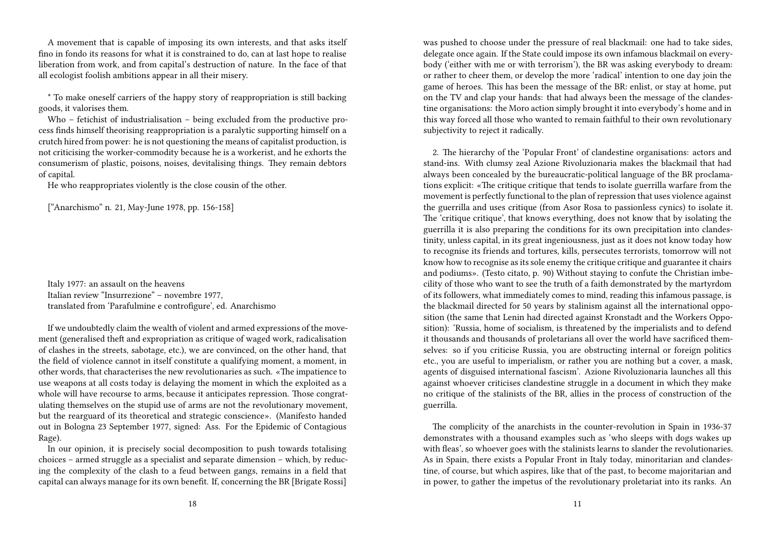A movement that is capable of imposing its own interests, and that asks itself fino in fondo its reasons for what it is constrained to do, can at last hope to realise liberation from work, and from capital's destruction of nature. In the face of that all ecologist foolish ambitions appear in all their misery.

\* To make oneself carriers of the happy story of reappropriation is still backing goods, it valorises them.

Who – fetichist of industrialisation – being excluded from the productive process finds himself theorising reappropriation is a paralytic supporting himself on a crutch hired from power: he is not questioning the means of capitalist production, is not criticising the worker-commodity because he is a workerist, and he exhorts the consumerism of plastic, poisons, noises, devitalising things. They remain debtors of capital.

He who reappropriates violently is the close cousin of the other.

["Anarchismo" n. 21, May-June 1978, pp. 156-158]

Italy 1977: an assault on the heavens Italian review "Insurrezione" – novembre 1977, translated from 'Parafulmine e controfigure', ed. Anarchismo

If we undoubtedly claim the wealth of violent and armed expressions of the movement (generalised theft and expropriation as critique of waged work, radicalisation of clashes in the streets, sabotage, etc.), we are convinced, on the other hand, that the field of violence cannot in itself constitute a qualifying moment, a moment, in other words, that characterises the new revolutionaries as such. «The impatience to use weapons at all costs today is delaying the moment in which the exploited as a whole will have recourse to arms, because it anticipates repression. Those congratulating themselves on the stupid use of arms are not the revolutionary movement, but the rearguard of its theoretical and strategic conscience». (Manifesto handed out in Bologna 23 September 1977, signed: Ass. For the Epidemic of Contagious Rage).

In our opinion, it is precisely social decomposition to push towards totalising choices – armed struggle as a specialist and separate dimension – which, by reducing the complexity of the clash to a feud between gangs, remains in a field that capital can always manage for its own benefit. If, concerning the BR [Brigate Rossi]

was pushed to choose under the pressure of real blackmail: one had to take sides, delegate once again. If the State could impose its own infamous blackmail on everybody ('either with me or with terrorism'), the BR was asking everybody to dream: or rather to cheer them, or develop the more 'radical' intention to one day join the game of heroes. This has been the message of the BR: enlist, or stay at home, put on the TV and clap your hands: that had always been the message of the clandestine organisations: the Moro action simply brought it into everybody's home and in this way forced all those who wanted to remain faithful to their own revolutionary subjectivity to reject it radically.

2. The hierarchy of the 'Popular Front' of clandestine organisations: actors and stand-ins. With clumsy zeal Azione Rivoluzionaria makes the blackmail that had always been concealed by the bureaucratic-political language of the BR proclamations explicit: «The critique critique that tends to isolate guerrilla warfare from the movement is perfectly functional to the plan of repression that uses violence against the guerrilla and uses critique (from Asor Rosa to passionless cynics) to isolate it. The 'critique critique', that knows everything, does not know that by isolating the guerrilla it is also preparing the conditions for its own precipitation into clandestinity, unless capital, in its great ingeniousness, just as it does not know today how to recognise its friends and tortures, kills, persecutes terrorists, tomorrow will not know how to recognise as its sole enemy the critique critique and guarantee it chairs and podiums». (Testo citato, p. 90) Without staying to confute the Christian imbecility of those who want to see the truth of a faith demonstrated by the martyrdom of its followers, what immediately comes to mind, reading this infamous passage, is the blackmail directed for 50 years by stalinism against all the international opposition (the same that Lenin had directed against Kronstadt and the Workers Opposition): 'Russia, home of socialism, is threatened by the imperialists and to defend it thousands and thousands of proletarians all over the world have sacrificed themselves: so if you criticise Russia, you are obstructing internal or foreign politics etc., you are useful to imperialism, or rather you are nothing but a cover, a mask, agents of disguised international fascism'. Azione Rivoluzionaria launches all this against whoever criticises clandestine struggle in a document in which they make no critique of the stalinists of the BR, allies in the process of construction of the guerrilla.

The complicity of the anarchists in the counter-revolution in Spain in 1936-37 demonstrates with a thousand examples such as 'who sleeps with dogs wakes up with fleas', so whoever goes with the stalinists learns to slander the revolutionaries. As in Spain, there exists a Popular Front in Italy today, minoritarian and clandestine, of course, but which aspires, like that of the past, to become majoritarian and in power, to gather the impetus of the revolutionary proletariat into its ranks. An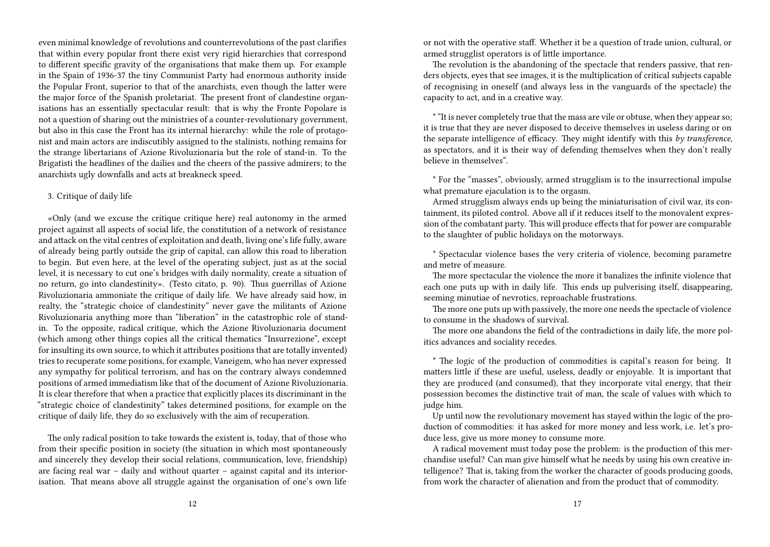even minimal knowledge of revolutions and counterrevolutions of the past clarifies that within every popular front there exist very rigid hierarchies that correspond to different specific gravity of the organisations that make them up. For example in the Spain of 1936-37 the tiny Communist Party had enormous authority inside the Popular Front, superior to that of the anarchists, even though the latter were the major force of the Spanish proletariat. The present front of clandestine organisations has an essentially spectacular result: that is why the Fronte Popolare is not a question of sharing out the ministries of a counter-revolutionary government, but also in this case the Front has its internal hierarchy: while the role of protagonist and main actors are indiscutibly assigned to the stalinists, nothing remains for the strange libertarians of Azione Rivoluzionaria but the role of stand-in. To the Brigatisti the headlines of the dailies and the cheers of the passive admirers; to the anarchists ugly downfalls and acts at breakneck speed.

#### 3. Critique of daily life

«Only (and we excuse the critique critique here) real autonomy in the armed project against all aspects of social life, the constitution of a network of resistance and attack on the vital centres of exploitation and death, living one's life fully, aware of already being partly outside the grip of capital, can allow this road to liberation to begin. But even here, at the level of the operating subject, just as at the social level, it is necessary to cut one's bridges with daily normality, create a situation of no return, go into clandestinity». (Testo citato, p. 90). Thus guerrillas of Azione Rivoluzionaria ammoniate the critique of daily life. We have already said how, in realty, the "strategic choice of clandestinity" never gave the militants of Azione Rivoluzionaria anything more than "liberation" in the catastrophic role of standin. To the opposite, radical critique, which the Azione Rivoluzionaria document (which among other things copies all the critical thematics "Insurrezione", except for insulting its own source, to which it attributes positions that are totally invented) tries to recuperate some positions, for example, Vaneigem, who has never expressed any sympathy for political terrorism, and has on the contrary always condemned positions of armed immediatism like that of the document of Azione Rivoluzionaria. It is clear therefore that when a practice that explicitly places its discriminant in the "strategic choice of clandestinity" takes determined positions, for example on the critique of daily life, they do so exclusively with the aim of recuperation.

The only radical position to take towards the existent is, today, that of those who from their specific position in society (the situation in which most spontaneously and sincerely they develop their social relations, communication, love, friendship) are facing real war – daily and without quarter – against capital and its interiorisation. That means above all struggle against the organisation of one's own life or not with the operative staff. Whether it be a question of trade union, cultural, or armed strugglist operators is of little importance.

The revolution is the abandoning of the spectacle that renders passive, that renders objects, eyes that see images, it is the multiplication of critical subjects capable of recognising in oneself (and always less in the vanguards of the spectacle) the capacity to act, and in a creative way.

\* "It is never completely true that the mass are vile or obtuse, when they appear so; it is true that they are never disposed to deceive themselves in useless daring or on the separate intelligence of efficacy. They might identify with this *by transference*, as spectators, and it is their way of defending themselves when they don't really believe in themselves".

\* For the "masses", obviously, armed strugglism is to the insurrectional impulse what premature ejaculation is to the orgasm.

Armed strugglism always ends up being the miniaturisation of civil war, its containment, its piloted control. Above all if it reduces itself to the monovalent expression of the combatant party. This will produce effects that for power are comparable to the slaughter of public holidays on the motorways.

\* Spectacular violence bases the very criteria of violence, becoming parametre and metre of measure.

The more spectacular the violence the more it banalizes the infinite violence that each one puts up with in daily life. This ends up pulverising itself, disappearing, seeming minutiae of nevrotics, reproachable frustrations.

The more one puts up with passively, the more one needs the spectacle of violence to consume in the shadows of survival.

The more one abandons the field of the contradictions in daily life, the more politics advances and sociality recedes.

\* The logic of the production of commodities is capital's reason for being. It matters little if these are useful, useless, deadly or enjoyable. It is important that they are produced (and consumed), that they incorporate vital energy, that their possession becomes the distinctive trait of man, the scale of values with which to judge him.

Up until now the revolutionary movement has stayed within the logic of the production of commodities: it has asked for more money and less work, i.e. let's produce less, give us more money to consume more.

A radical movement must today pose the problem: is the production of this merchandise useful? Can man give himself what he needs by using his own creative intelligence? That is, taking from the worker the character of goods producing goods, from work the character of alienation and from the product that of commodity.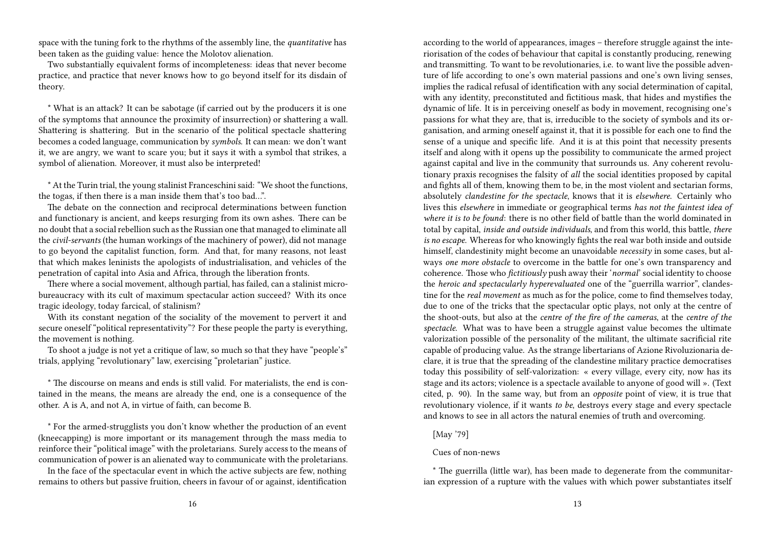space with the tuning fork to the rhythms of the assembly line, the *quantitative* has been taken as the guiding value: hence the Molotov alienation.

Two substantially equivalent forms of incompleteness: ideas that never become practice, and practice that never knows how to go beyond itself for its disdain of theory.

\* What is an attack? It can be sabotage (if carried out by the producers it is one of the symptoms that announce the proximity of insurrection) or shattering a wall. Shattering is shattering. But in the scenario of the political spectacle shattering becomes a coded language, communication by *symbols*. It can mean: we don't want it, we are angry, we want to scare you; but it says it with a symbol that strikes, a symbol of alienation. Moreover, it must also be interpreted!

\* At the Turin trial, the young stalinist Franceschini said: "We shoot the functions, the togas, if then there is a man inside them that's too bad…".

The debate on the connection and reciprocal determinations between function and functionary is ancient, and keeps resurging from its own ashes. There can be no doubt that a social rebellion such as the Russian one that managed to eliminate all the *civil-servants* (the human workings of the machinery of power), did not manage to go beyond the capitalist function, form. And that, for many reasons, not least that which makes leninists the apologists of industrialisation, and vehicles of the penetration of capital into Asia and Africa, through the liberation fronts.

There where a social movement, although partial, has failed, can a stalinist microbureaucracy with its cult of maximum spectacular action succeed? With its once tragic ideology, today farcical, of stalinism?

With its constant negation of the sociality of the movement to pervert it and secure oneself "political representativity"? For these people the party is everything, the movement is nothing.

To shoot a judge is not yet a critique of law, so much so that they have "people's" trials, applying "revolutionary" law, exercising "proletarian" justice.

\* The discourse on means and ends is still valid. For materialists, the end is contained in the means, the means are already the end, one is a consequence of the other. A is A, and not A, in virtue of faith, can become B.

\* For the armed-strugglists you don't know whether the production of an event (kneecapping) is more important or its management through the mass media to reinforce their "political image" with the proletarians. Surely access to the means of communication of power is an alienated way to communicate with the proletarians.

In the face of the spectacular event in which the active subjects are few, nothing remains to others but passive fruition, cheers in favour of or against, identification

according to the world of appearances, images – therefore struggle against the interiorisation of the codes of behaviour that capital is constantly producing, renewing and transmitting. To want to be revolutionaries, i.e. to want live the possible adventure of life according to one's own material passions and one's own living senses, implies the radical refusal of identification with any social determination of capital, with any identity, preconstituted and fictitious mask, that hides and mystifies the dynamic of life. It is in perceiving oneself as body in movement, recognising one's passions for what they are, that is, irreducible to the society of symbols and its organisation, and arming oneself against it, that it is possible for each one to find the sense of a unique and specific life. And it is at this point that necessity presents itself and along with it opens up the possibility to communicate the armed project against capital and live in the community that surrounds us. Any coherent revolutionary praxis recognises the falsity of *all* the social identities proposed by capital and fights all of them, knowing them to be, in the most violent and sectarian forms, absolutely *clandestine for the spectacle*, knows that it is *elsewhere*. Certainly who lives this *elsewhere* in immediate or geographical terms *has not the faintest idea of where it is to be found*: there is no other field of battle than the world dominated in total by capital, *inside and outside individuals*, and from this world, this battle, *there is no escape*. Whereas for who knowingly fights the real war both inside and outside himself, clandestinity might become an unavoidable *necessity* in some cases, but always *one more obstacle* to overcome in the battle for one's own transparency and coherence. Those who *fictitiously* push away their '*normal*' social identity to choose the *heroic and spectacularly hyperevaluated* one of the "guerrilla warrior", clandestine for the *real movement* as much as for the police, come to find themselves today, due to one of the tricks that the spectacular optic plays, not only at the centre of the shoot-outs, but also at the *centre of the fire of the cameras*, at the *centre of the spectacle*. What was to have been a struggle against value becomes the ultimate valorization possible of the personality of the militant, the ultimate sacrificial rite capable of producing value. As the strange libertarians of Azione Rivoluzionaria declare, it is true that the spreading of the clandestine military practice democratises today this possibility of self-valorization: « every village, every city, now has its stage and its actors; violence is a spectacle available to anyone of good will ». (Text cited, p. 90). In the same way, but from an *opposite* point of view, it is true that revolutionary violence, if it wants *to be*, destroys every stage and every spectacle and knows to see in all actors the natural enemies of truth and overcoming.

### [May '79]

### Cues of non-news

\* The guerrilla (little war), has been made to degenerate from the communitarian expression of a rupture with the values with which power substantiates itself